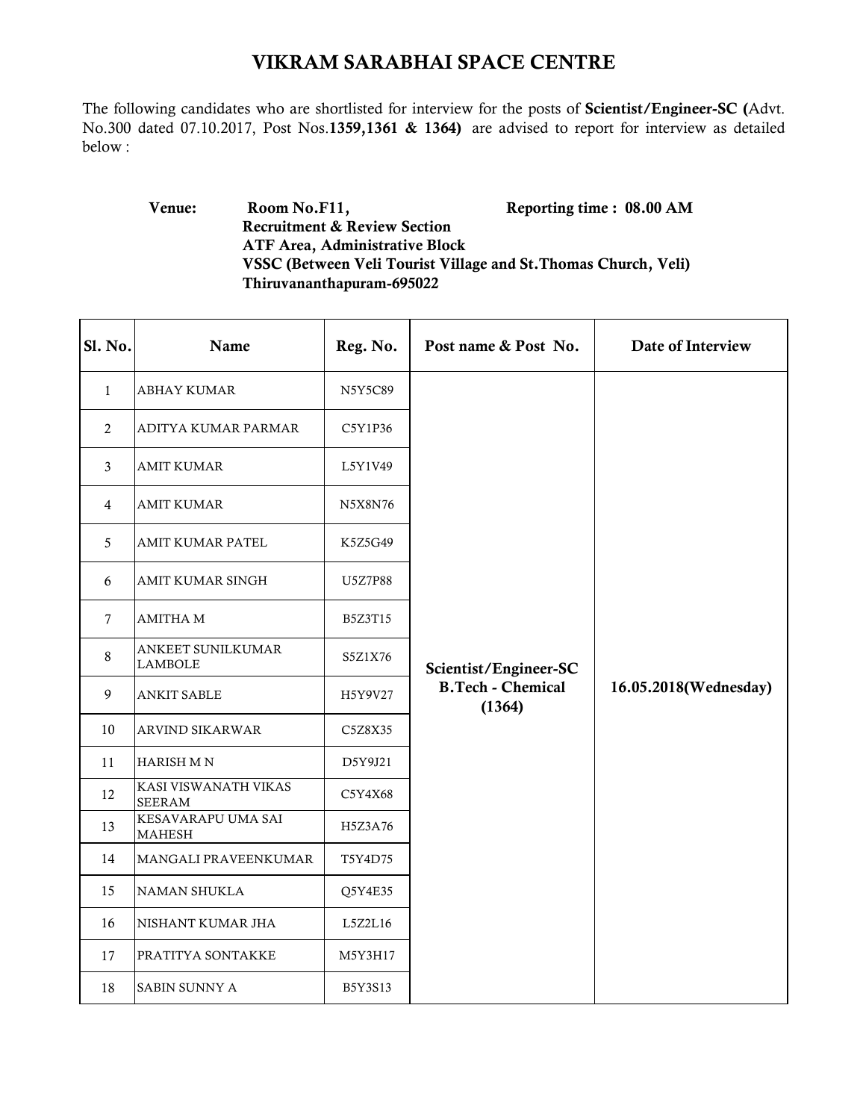## VIKRAM SARABHAI SPACE CENTRE

The following candidates who are shortlisted for interview for the posts of Scientist/Engineer-SC (Advt. No.300 dated 07.10.2017, Post Nos.1359,1361 & 1364) are advised to report for interview as detailed below :

## Venue: Room No.F11, Reporting time : 08.00 AM Recruitment & Review Section ATF Area, Administrative Block VSSC (Between Veli Tourist Village and St.Thomas Church, Veli) Thiruvananthapuram-695022

| Sl. No.      | Name                                  | Reg. No. | Post name & Post No.               | Date of Interview     |
|--------------|---------------------------------------|----------|------------------------------------|-----------------------|
| $\mathbf{1}$ | <b>ABHAY KUMAR</b>                    | N5Y5C89  |                                    |                       |
| 2            | ADITYA KUMAR PARMAR                   | C5Y1P36  |                                    |                       |
| 3            | <b>AMIT KUMAR</b>                     | L5Y1V49  |                                    |                       |
| 4            | AMIT KUMAR                            | N5X8N76  |                                    |                       |
| 5            | AMIT KUMAR PATEL                      | K5Z5G49  |                                    |                       |
| 6            | AMIT KUMAR SINGH                      | U5Z7P88  |                                    |                       |
| 7            | <b>AMITHA M</b>                       | B5Z3T15  |                                    |                       |
| 8            | ANKEET SUNILKUMAR<br><b>LAMBOLE</b>   | S5Z1X76  | Scientist/Engineer-SC              |                       |
| 9            | <b>ANKIT SABLE</b>                    | H5Y9V27  | <b>B.Tech - Chemical</b><br>(1364) | 16.05.2018(Wednesday) |
| 10           | <b>ARVIND SIKARWAR</b>                | C5Z8X35  |                                    |                       |
| 11           | <b>HARISH MN</b>                      | D5Y9J21  |                                    |                       |
| 12           | KASI VISWANATH VIKAS<br><b>SEERAM</b> | C5Y4X68  |                                    |                       |
| 13           | KESAVARAPU UMA SAI<br><b>MAHESH</b>   | H5Z3A76  |                                    |                       |
| 14           | MANGALI PRAVEENKUMAR                  | T5Y4D75  |                                    |                       |
| 15           | <b>NAMAN SHUKLA</b>                   | Q5Y4E35  |                                    |                       |
| 16           | NISHANT KUMAR JHA                     | L5Z2L16  |                                    |                       |
| 17           | PRATITYA SONTAKKE                     | M5Y3H17  |                                    |                       |
| 18           | SABIN SUNNY A                         | B5Y3S13  |                                    |                       |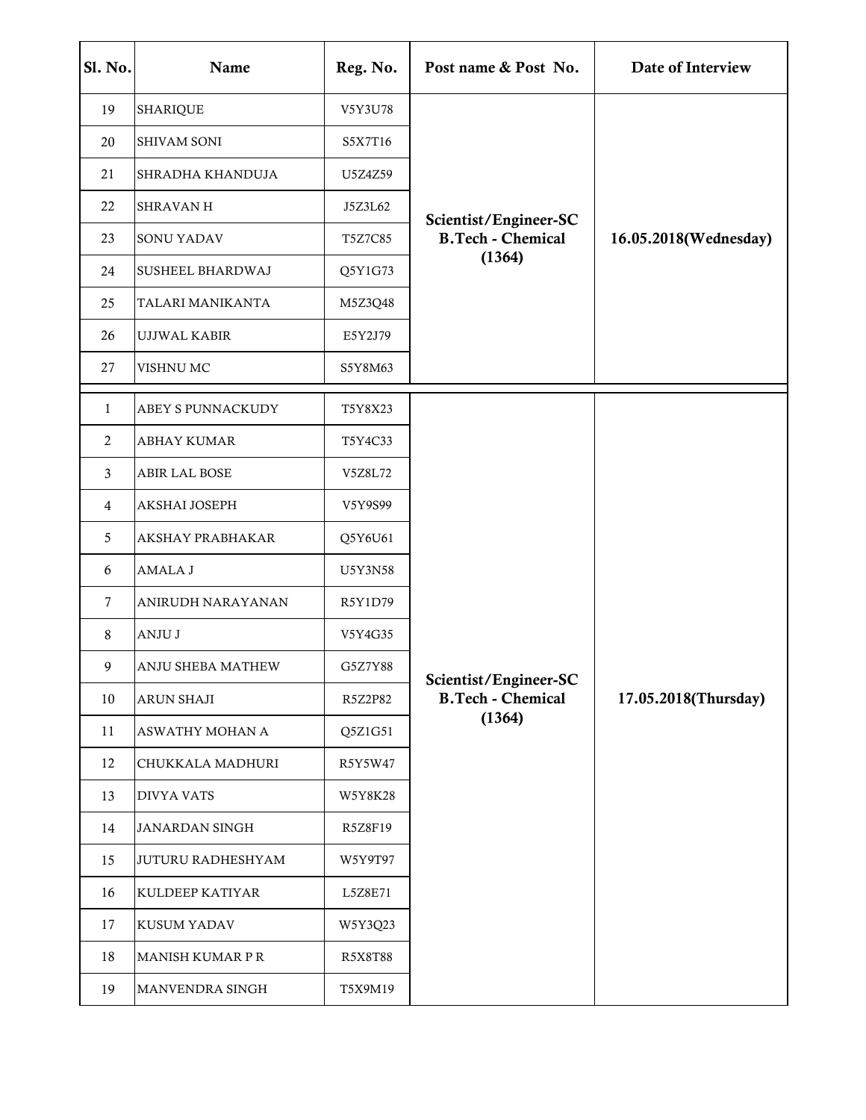| Sl. No.        | Name                  | Reg. No. | Post name & Post No.                                        | Date of Interview     |
|----------------|-----------------------|----------|-------------------------------------------------------------|-----------------------|
| 19             | SHARIQUE              | V5Y3U78  | Scientist/Engineer-SC<br><b>B.Tech - Chemical</b><br>(1364) | 16.05.2018(Wednesday) |
| 20             | SHIVAM SONI           | S5X7T16  |                                                             |                       |
| 21             | SHRADHA KHANDUJA      | U5Z4Z59  |                                                             |                       |
| 22             | SHRAVAN H             | J5Z3L62  |                                                             |                       |
| 23             | SONU YADAV            | T5Z7C85  |                                                             |                       |
| 24             | SUSHEEL BHARDWAJ      | Q5Y1G73  |                                                             |                       |
| 25             | TALARI MANIKANTA      | M5Z3Q48  |                                                             |                       |
| 26             | UJJWAL KABIR          | E5Y2J79  |                                                             |                       |
| 27             | VISHNU MC             | S5Y8M63  |                                                             |                       |
| $\mathbf{1}$   | ABEY S PUNNACKUDY     | T5Y8X23  |                                                             | 17.05.2018(Thursday)  |
| $\overline{c}$ | ABHAY KUMAR           | T5Y4C33  |                                                             |                       |
| 3              | ABIR LAL BOSE         | V5Z8L72  |                                                             |                       |
| 4              | AKSHAI JOSEPH         | V5Y9S99  |                                                             |                       |
| 5              | AKSHAY PRABHAKAR      | Q5Y6U61  |                                                             |                       |
| 6              | AMALA J               | U5Y3N58  |                                                             |                       |
| 7              | ANIRUDH NARAYANAN     | R5Y1D79  |                                                             |                       |
| 8              | ANJU J                | V5Y4G35  |                                                             |                       |
| 9              | ANJU SHEBA MATHEW     | G5Z7Y88  | Scientist/Engineer-SC                                       |                       |
| 10             | ARUN SHAJI            | R5Z2P82  | <b>B.Tech - Chemical</b>                                    |                       |
| 11             | ASWATHY MOHAN A       | Q5Z1G51  | (1364)                                                      |                       |
| 12             | CHUKKALA MADHURI      | R5Y5W47  |                                                             |                       |
| 13             | <b>DIVYA VATS</b>     | W5Y8K28  |                                                             |                       |
| 14             | <b>JANARDAN SINGH</b> | R5Z8F19  |                                                             |                       |
| 15             | JUTURU RADHESHYAM     | W5Y9T97  |                                                             |                       |
| 16             | KULDEEP KATIYAR       | L5Z8E71  |                                                             |                       |
| 17             | KUSUM YADAV           | W5Y3Q23  |                                                             |                       |
| 18             | MANISH KUMAR PR       | R5X8T88  |                                                             |                       |
| 19             | MANVENDRA SINGH       | T5X9M19  |                                                             |                       |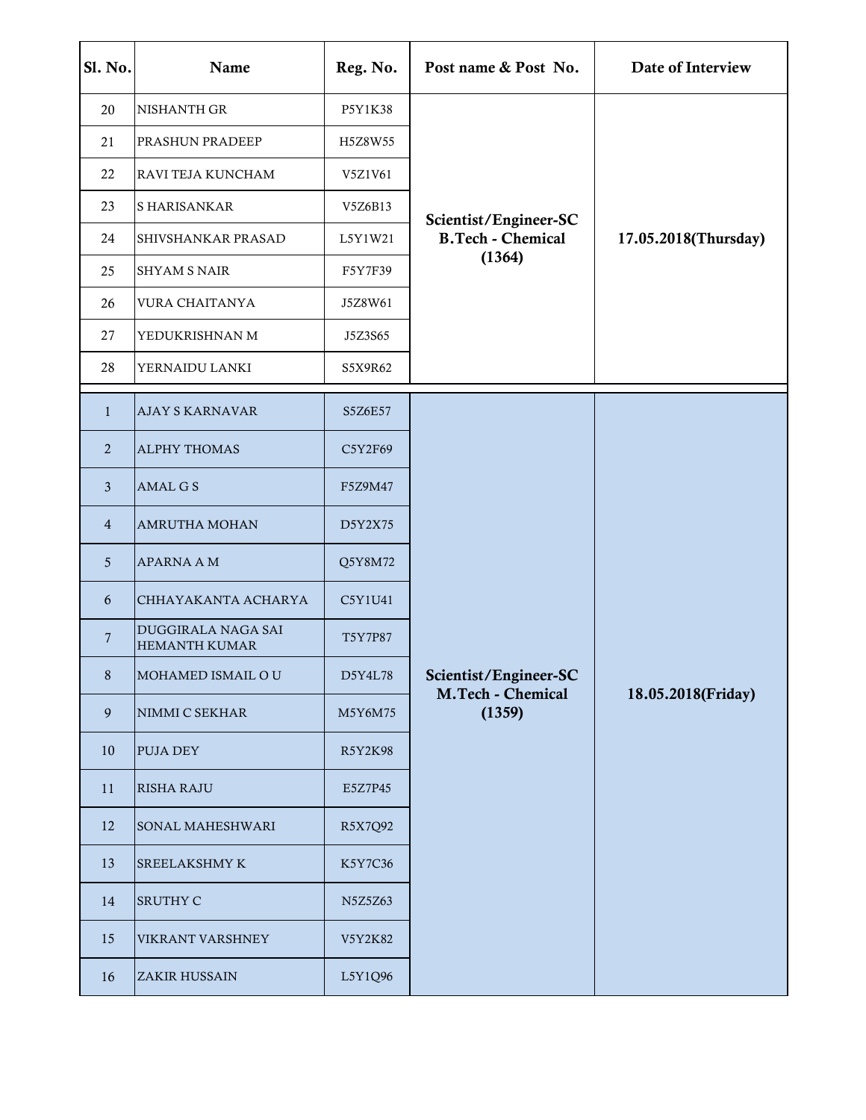| Sl. No.        | Name                                       | Reg. No. | Post name & Post No.                                        | Date of Interview    |
|----------------|--------------------------------------------|----------|-------------------------------------------------------------|----------------------|
| 20             | NISHANTH GR                                | P5Y1K38  |                                                             |                      |
| 21             | PRASHUN PRADEEP                            | H5Z8W55  | Scientist/Engineer-SC<br><b>B.Tech - Chemical</b><br>(1364) | 17.05.2018(Thursday) |
| 22             | RAVI TEJA KUNCHAM                          | V5Z1V61  |                                                             |                      |
| 23             | S HARISANKAR                               | V5Z6B13  |                                                             |                      |
| 24             | SHIVSHANKAR PRASAD                         | L5Y1W21  |                                                             |                      |
| 25             | <b>SHYAM S NAIR</b>                        | F5Y7F39  |                                                             |                      |
| 26             | VURA CHAITANYA                             | J5Z8W61  |                                                             |                      |
| 27             | YEDUKRISHNAN M                             | J5Z3S65  |                                                             |                      |
| 28             | YERNAIDU LANKI                             | S5X9R62  |                                                             |                      |
| $\mathbf{1}$   | <b>AJAY S KARNAVAR</b>                     | S5Z6E57  |                                                             |                      |
| $\overline{2}$ | <b>ALPHY THOMAS</b>                        | C5Y2F69  |                                                             |                      |
| $\mathbf{3}$   | <b>AMAL G S</b>                            | F5Z9M47  | Scientist/Engineer-SC                                       | 18.05.2018(Friday)   |
| $\overline{4}$ | <b>AMRUTHA MOHAN</b>                       | D5Y2X75  |                                                             |                      |
| 5              | <b>APARNA A M</b>                          | Q5Y8M72  |                                                             |                      |
| 6              | CHHAYAKANTA ACHARYA                        | C5Y1U41  |                                                             |                      |
| $\overline{7}$ | DUGGIRALA NAGA SAI<br><b>HEMANTH KUMAR</b> | T5Y7P87  |                                                             |                      |
| 8              | MOHAMED ISMAIL OU                          | D5Y4L78  |                                                             |                      |
| 9              | NIMMI C SEKHAR                             | M5Y6M75  | <b>M.Tech - Chemical</b><br>(1359)                          |                      |
| 10             | <b>PUJA DEY</b>                            | R5Y2K98  |                                                             |                      |
| 11             | <b>RISHA RAJU</b>                          | E5Z7P45  |                                                             |                      |
| 12             | <b>SONAL MAHESHWARI</b>                    | R5X7Q92  |                                                             |                      |
| 13             | <b>SREELAKSHMY K</b>                       | K5Y7C36  |                                                             |                      |
| 14             | <b>SRUTHY C</b>                            | N5Z5Z63  |                                                             |                      |
| 15             | VIKRANT VARSHNEY                           | V5Y2K82  |                                                             |                      |
| 16             | ZAKIR HUSSAIN                              | L5Y1Q96  |                                                             |                      |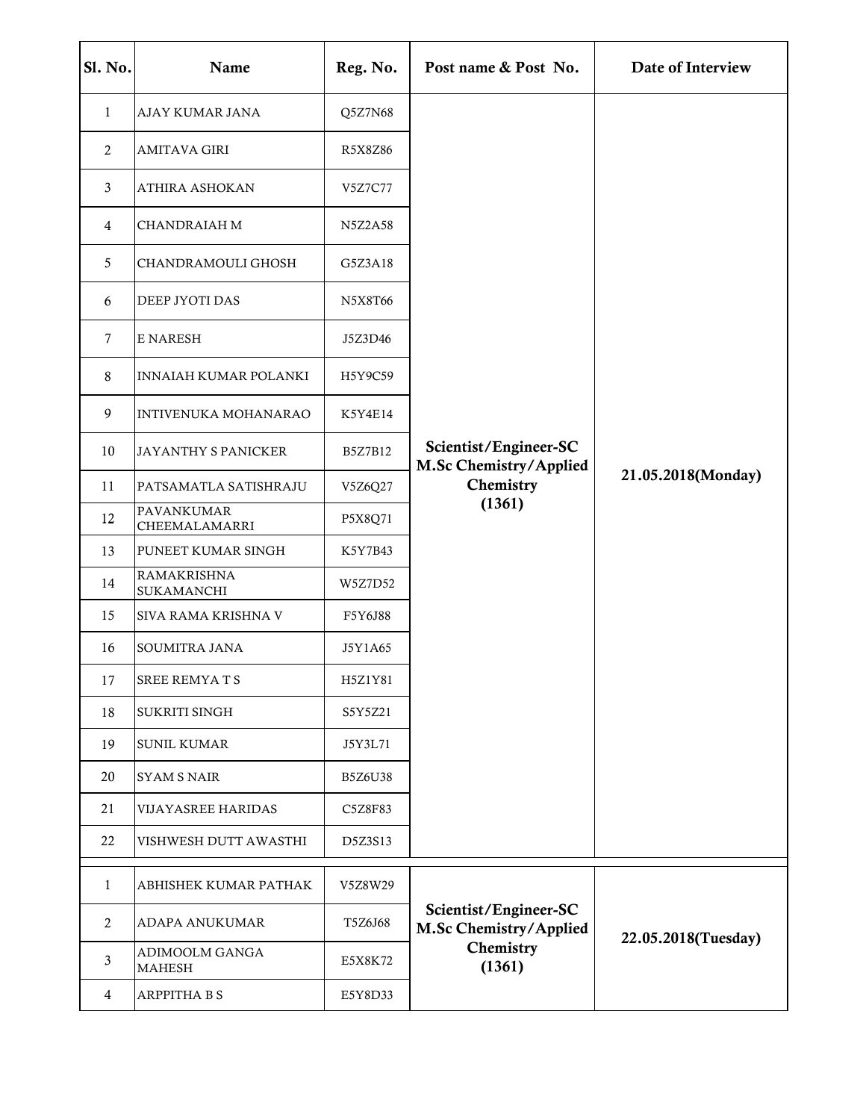| <b>Sl. No.</b> | Name                            | Reg. No.       | Post name & Post No.                                                   | Date of Interview   |
|----------------|---------------------------------|----------------|------------------------------------------------------------------------|---------------------|
| $\mathbf{1}$   | AJAY KUMAR JANA                 | Q5Z7N68        |                                                                        | 21.05.2018(Monday)  |
| 2              | <b>AMITAVA GIRI</b>             | R5X8Z86        |                                                                        |                     |
| 3              | ATHIRA ASHOKAN                  | V5Z7C77        |                                                                        |                     |
| 4              | <b>CHANDRAIAH M</b>             | <b>N5Z2A58</b> |                                                                        |                     |
| 5              | CHANDRAMOULI GHOSH              | G5Z3A18        |                                                                        |                     |
| 6              | DEEP JYOTI DAS                  | N5X8T66        |                                                                        |                     |
| 7              | E NARESH                        | J5Z3D46        |                                                                        |                     |
| 8              | <b>INNAIAH KUMAR POLANKI</b>    | H5Y9C59        |                                                                        |                     |
| 9              | INTIVENUKA MOHANARAO            | K5Y4E14        | Scientist/Engineer-SC<br>M.Sc Chemistry/Applied<br>Chemistry           |                     |
| 10             | JAYANTHY S PANICKER             | B5Z7B12        |                                                                        |                     |
| 11             | PATSAMATLA SATISHRAJU           | V5Z6Q27        |                                                                        |                     |
| 12             | PAVANKUMAR<br>CHEEMALAMARRI     | P5X8Q71        | (1361)                                                                 |                     |
| 13             | PUNEET KUMAR SINGH              | K5Y7B43        |                                                                        |                     |
| 14             | RAMAKRISHNA<br>SUKAMANCHI       | W5Z7D52        |                                                                        |                     |
| 15             | SIVA RAMA KRISHNA V             | F5Y6J88        |                                                                        |                     |
| 16             | SOUMITRA JANA                   | J5Y1A65        |                                                                        |                     |
| 17             | SREE REMYATS                    | H5Z1Y81        |                                                                        |                     |
| 18             | SUKRITI SINGH                   | S5Y5Z21        |                                                                        |                     |
| 19             | <b>SUNIL KUMAR</b>              | J5Y3L71        |                                                                        |                     |
| 20             | <b>SYAM S NAIR</b>              | <b>B5Z6U38</b> |                                                                        |                     |
| 21             | VIJAYASREE HARIDAS              | C5Z8F83        |                                                                        |                     |
| 22             | VISHWESH DUTT AWASTHI           | D5Z3S13        |                                                                        |                     |
| $\mathbf{1}$   | ABHISHEK KUMAR PATHAK           | V5Z8W29        | Scientist/Engineer-SC<br>M.Sc Chemistry/Applied<br>Chemistry<br>(1361) | 22.05.2018(Tuesday) |
| $\overline{2}$ | ADAPA ANUKUMAR                  | T5Z6J68        |                                                                        |                     |
| 3              | ADIMOOLM GANGA<br><b>MAHESH</b> | E5X8K72        |                                                                        |                     |
| $\overline{4}$ | ARPPITHA B S                    | E5Y8D33        |                                                                        |                     |